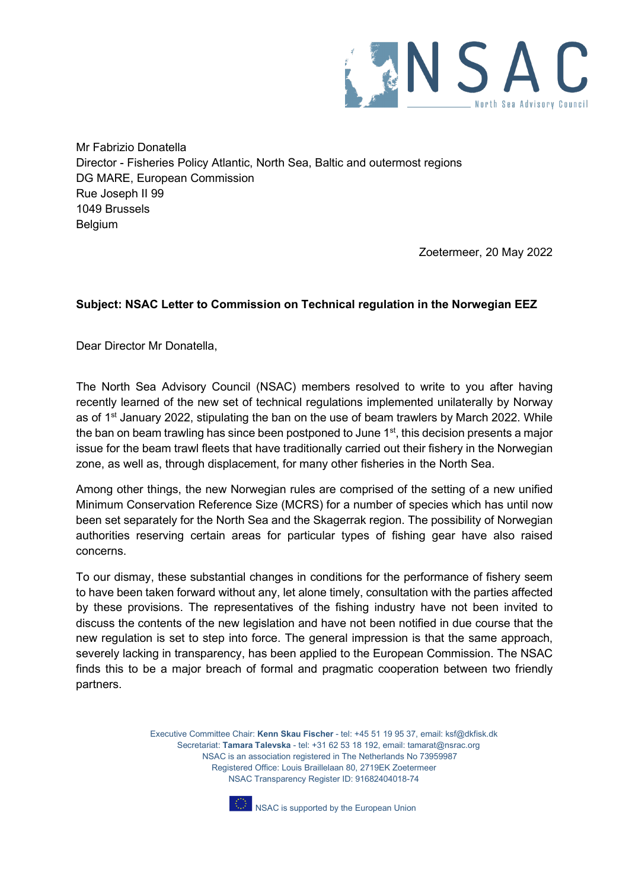

Mr Fabrizio Donatella Director - Fisheries Policy Atlantic, North Sea, Baltic and outermost regions DG MARE, European Commission Rue Joseph II 99 1049 Brussels Belgium

Zoetermeer, 20 May 2022

## **Subject: NSAC Letter to Commission on Technical regulation in the Norwegian EEZ**

Dear Director Mr Donatella,

The North Sea Advisory Council (NSAC) members resolved to write to you after having recently learned of the new set of technical regulations implemented unilaterally by Norway as of  $1<sup>st</sup>$  January 2022, stipulating the ban on the use of beam trawlers by March 2022. While the ban on beam trawling has since been postponed to June  $1<sup>st</sup>$ , this decision presents a major issue for the beam trawl fleets that have traditionally carried out their fishery in the Norwegian zone, as well as, through displacement, for many other fisheries in the North Sea.

Among other things, the new Norwegian rules are comprised of the setting of a new unified Minimum Conservation Reference Size (MCRS) for a number of species which has until now been set separately for the North Sea and the Skagerrak region. The possibility of Norwegian authorities reserving certain areas for particular types of fishing gear have also raised concerns.

To our dismay, these substantial changes in conditions for the performance of fishery seem to have been taken forward without any, let alone timely, consultation with the parties affected by these provisions. The representatives of the fishing industry have not been invited to discuss the contents of the new legislation and have not been notified in due course that the new regulation is set to step into force. The general impression is that the same approach, severely lacking in transparency, has been applied to the European Commission. The NSAC finds this to be a major breach of formal and pragmatic cooperation between two friendly partners.

> Executive Committee Chair: **Kenn Skau Fischer** - tel: +45 51 19 95 37, email: ksf@dkfisk.dk Secretariat: **Tamara Talevska** - tel: +31 62 53 18 192, email: tamarat@nsrac.org NSAC is an association registered in The Netherlands No 73959987 Registered Office: Louis Braillelaan 80, 2719EK Zoetermeer NSAC Transparency Register ID: 91682404018-74



NSAC is supported by the European Union